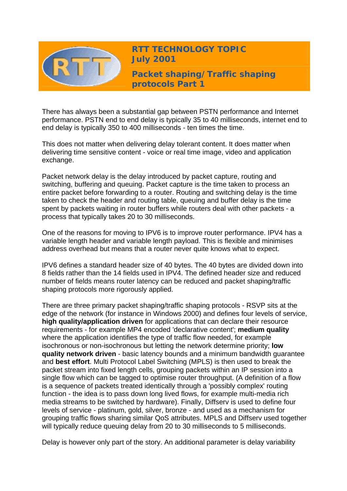

**RTT TECHNOLOGY TOPIC July 2001**

**Packet shaping/Traffic shaping protocols Part 1** 

There has always been a substantial gap between PSTN performance and Internet performance. PSTN end to end delay is typically 35 to 40 milliseconds, internet end to end delay is typically 350 to 400 milliseconds - ten times the time.

This does not matter when delivering delay tolerant content. It does matter when delivering time sensitive content - voice or real time image, video and application exchange.

Packet network delay is the delay introduced by packet capture, routing and switching, buffering and queuing. Packet capture is the time taken to process an entire packet before forwarding to a router. Routing and switching delay is the time taken to check the header and routing table, queuing and buffer delay is the time spent by packets waiting in router buffers while routers deal with other packets - a process that typically takes 20 to 30 milliseconds.

One of the reasons for moving to IPV6 is to improve router performance. IPV4 has a variable length header and variable length payload. This is flexible and minimises address overhead but means that a router never quite knows what to expect.

IPV6 defines a standard header size of 40 bytes. The 40 bytes are divided down into 8 fields rather than the 14 fields used in IPV4. The defined header size and reduced number of fields means router latency can be reduced and packet shaping/traffic shaping protocols more rigorously applied.

There are three primary packet shaping/traffic shaping protocols - RSVP sits at the edge of the network (for instance in Windows 2000) and defines four levels of service, **high quality/application driven** for applications that can declare their resource requirements - for example MP4 encoded 'declarative content'; **medium quality** where the application identifies the type of traffic flow needed, for example isochronous or non-isochronous but letting the network determine priority; **low quality network driven** - basic latency bounds and a minimum bandwidth guarantee and **best effort**. Multi Protocol Label Switching (MPLS) is then used to break the packet stream into fixed length cells, grouping packets within an IP session into a single flow which can be tagged to optimise router throughput. (A definition of a flow is a sequence of packets treated identically through a 'possibly complex' routing function - the idea is to pass down long lived flows, for example multi-media rich media streams to be switched by hardware). Finally, Diffserv is used to define four levels of service - platinum, gold, silver, bronze - and used as a mechanism for grouping traffic flows sharing similar QoS attributes. MPLS and Diffserv used together will typically reduce queuing delay from 20 to 30 milliseconds to 5 milliseconds.

Delay is however only part of the story. An additional parameter is delay variability